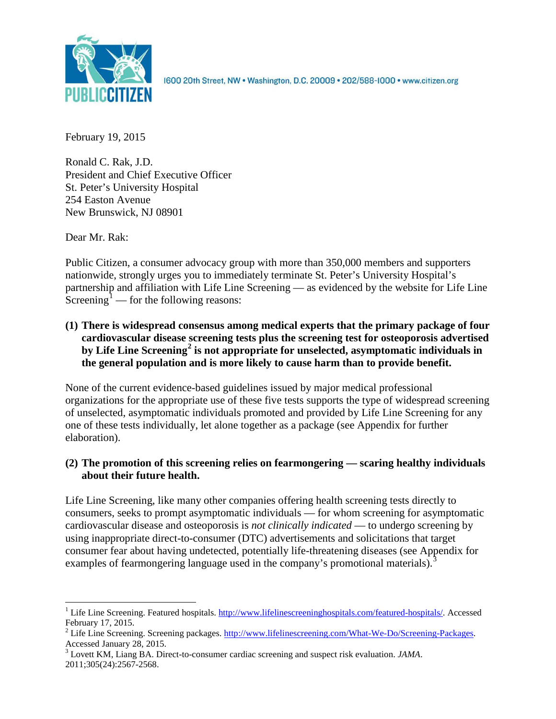

1600 20th Street, NW . Washington, D.C. 20009 . 202/588-1000 . www.citizen.org

February 19, 2015

Ronald C. Rak, J.D. President and Chief Executive Officer St. Peter's University Hospital 254 Easton Avenue New Brunswick, NJ 08901

Dear Mr. Rak:

Public Citizen, a consumer advocacy group with more than 350,000 members and supporters nationwide, strongly urges you to immediately terminate St. Peter's University Hospital's partnership and affiliation with Life Line Screening — as evidenced by the website for Life Line Screening<sup>[1](#page-0-0)</sup> — for the following reasons:

**(1) There is widespread consensus among medical experts that the primary package of four cardiovascular disease screening tests plus the screening test for osteoporosis advertised by Life Line Screening[2](#page-0-1) is not appropriate for unselected, asymptomatic individuals in the general population and is more likely to cause harm than to provide benefit.**

None of the current evidence-based guidelines issued by major medical professional organizations for the appropriate use of these five tests supports the type of widespread screening of unselected, asymptomatic individuals promoted and provided by Life Line Screening for any one of these tests individually, let alone together as a package (see Appendix for further elaboration).

# **(2) The promotion of this screening relies on fearmongering — scaring healthy individuals about their future health.**

Life Line Screening, like many other companies offering health screening tests directly to consumers, seeks to prompt asymptomatic individuals — for whom screening for asymptomatic cardiovascular disease and osteoporosis is *not clinically indicated* — to undergo screening by using inappropriate direct-to-consumer (DTC) advertisements and solicitations that target consumer fear about having undetected, potentially life-threatening diseases (see Appendix for examples of fearmongering language used in the company's promotional materials).<sup>[3](#page-0-2)</sup>

<span id="page-0-0"></span><sup>&</sup>lt;sup>1</sup> Life Line Screening. Featured hospitals. [http://www.lifelinescreeninghospitals.com/featured-hospitals/.](http://www.lifelinescreeninghospitals.com/featured-hospitals/) Accessed

<span id="page-0-1"></span>February 17, 2015.<br><sup>2</sup> Life Line Screening. Screening packages. [http://www.lifelinescreening.com/What-We-Do/Screening-Packages.](http://www.lifelinescreening.com/What-We-Do/Screening-Packages)<br>Accessed January 28, 2015.

<span id="page-0-2"></span><sup>&</sup>lt;sup>3</sup> Lovett KM, Liang BA. Direct-to-consumer cardiac screening and suspect risk evaluation. *JAMA*. 2011;305(24):2567-2568.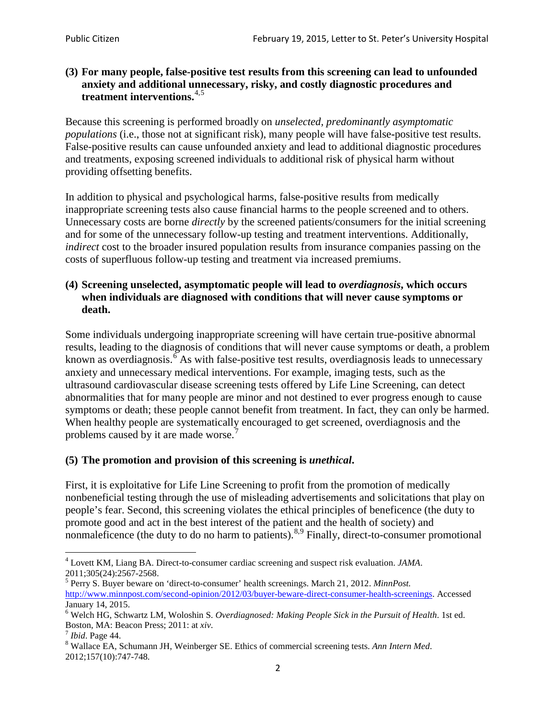## **(3) For many people, false-positive test results from this screening can lead to unfounded anxiety and additional unnecessary, risky, and costly diagnostic procedures and treatment interventions.**[4](#page-1-0),[5](#page-1-1)

Because this screening is performed broadly on *unselected, predominantly asymptomatic populations* (i.e., those not at significant risk), many people will have false**-**positive test results. False-positive results can cause unfounded anxiety and lead to additional diagnostic procedures and treatments, exposing screened individuals to additional risk of physical harm without providing offsetting benefits.

In addition to physical and psychological harms, false-positive results from medically inappropriate screening tests also cause financial harms to the people screened and to others. Unnecessary costs are borne *directly* by the screened patients/consumers for the initial screening and for some of the unnecessary follow-up testing and treatment interventions. Additionally, *indirect* cost to the broader insured population results from insurance companies passing on the costs of superfluous follow-up testing and treatment via increased premiums.

## **(4) Screening unselected, asymptomatic people will lead to** *overdiagnosis***, which occurs when individuals are diagnosed with conditions that will never cause symptoms or death.**

Some individuals undergoing inappropriate screening will have certain true-positive abnormal results, leading to the diagnosis of conditions that will never cause symptoms or death, a problem known as overdiagnosis.<sup>[6](#page-1-2)</sup> As with false-positive test results, overdiagnosis leads to unnecessary anxiety and unnecessary medical interventions. For example, imaging tests, such as the ultrasound cardiovascular disease screening tests offered by Life Line Screening, can detect abnormalities that for many people are minor and not destined to ever progress enough to cause symptoms or death; these people cannot benefit from treatment. In fact, they can only be harmed. When healthy people are systematically encouraged to get screened, overdiagnosis and the problems caused by it are made worse.<sup>[7](#page-1-3)</sup>

# **(5) The promotion and provision of this screening is** *unethical***.**

First, it is exploitative for Life Line Screening to profit from the promotion of medically nonbeneficial testing through the use of misleading advertisements and solicitations that play on people's fear. Second, this screening violates the ethical principles of beneficence (the duty to promote good and act in the best interest of the patient and the health of society) and nonmaleficence (the duty to do no harm to patients).  $8.9$  $8.9$  $8.9$  Finally, direct-to-consumer promotional

<span id="page-1-4"></span>2012;157(10):747-748.

<span id="page-1-5"></span><span id="page-1-0"></span><sup>4</sup> Lovett KM, Liang BA. Direct-to-consumer cardiac screening and suspect risk evaluation. *JAMA*.

<span id="page-1-1"></span><sup>2011;305(24):2567-2568.</sup> <sup>5</sup> Perry S. Buyer beware on 'direct-to-consumer' health screenings. March 21, 2012. *MinnPost.*  [http://www.minnpost.com/second-opinion/2012/03/buyer-beware-direct-consumer-health-screenings.](http://www.minnpost.com/second-opinion/2012/03/buyer-beware-direct-consumer-health-screenings) Accessed January 14, 2015.

<span id="page-1-2"></span><sup>6</sup> Welch HG, Schwartz LM, Woloshin S. *Overdiagnosed: Making People Sick in the Pursuit of Health*. 1st ed. Boston, MA: Beacon Press; 2011: at *xiv*.<br><sup>7</sup> *Ibid*. Page 44.<br><sup>8</sup> Wallace EA, Schumann JH, Weinberger SE. Ethics of commercial screening tests. *Ann Intern Med*.

<span id="page-1-3"></span>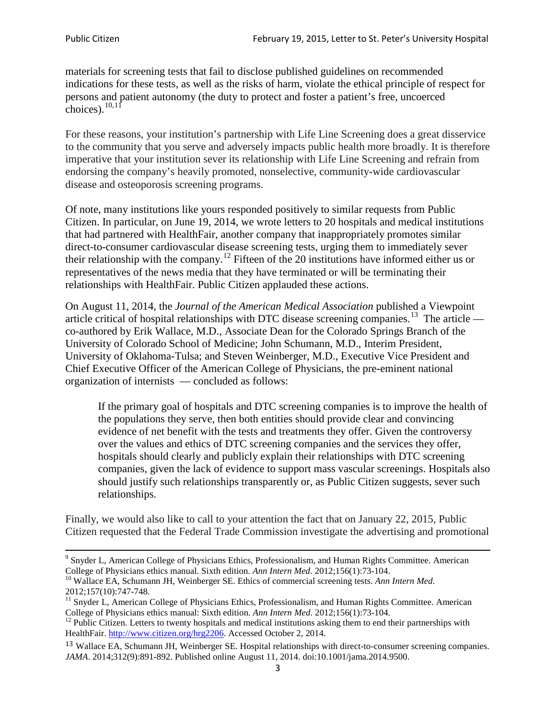materials for screening tests that fail to disclose published guidelines on recommended indications for these tests, as well as the risks of harm, violate the ethical principle of respect for persons and patient autonomy (the duty to protect and foster a patient's free, uncoerced choices). $10,11$  $10,11$ 

For these reasons, your institution's partnership with Life Line Screening does a great disservice to the community that you serve and adversely impacts public health more broadly. It is therefore imperative that your institution sever its relationship with Life Line Screening and refrain from endorsing the company's heavily promoted, nonselective, community**-**wide cardiovascular disease and osteoporosis screening programs.

Of note, many institutions like yours responded positively to similar requests from Public Citizen. In particular, on June 19, 2014, we wrote letters to 20 hospitals and medical institutions that had partnered with HealthFair, another company that inappropriately promotes similar direct-to-consumer cardiovascular disease screening tests, urging them to immediately sever their relationship with the company. [12](#page-2-2) Fifteen of the 20 institutions have informed either us or representatives of the news media that they have terminated or will be terminating their relationships with HealthFair. Public Citizen applauded these actions.

On August 11, 2014, the *Journal of the American Medical Association* published a Viewpoint article critical of hospital relationships with DTC disease screening companies.<sup>13</sup> The article co-authored by Erik Wallace, M.D., Associate Dean for the Colorado Springs Branch of the University of Colorado School of Medicine; John Schumann, M.D., Interim President, University of Oklahoma-Tulsa; and Steven Weinberger, M.D., Executive Vice President and Chief Executive Officer of the American College of Physicians, the pre**-**eminent national organization of internists — concluded as follows:

If the primary goal of hospitals and DTC screening companies is to improve the health of the populations they serve, then both entities should provide clear and convincing evidence of net benefit with the tests and treatments they offer. Given the controversy over the values and ethics of DTC screening companies and the services they offer, hospitals should clearly and publicly explain their relationships with DTC screening companies, given the lack of evidence to support mass vascular screenings. Hospitals also should justify such relationships transparently or, as Public Citizen suggests, sever such relationships.

Finally, we would also like to call to your attention the fact that on January 22, 2015, Public Citizen requested that the Federal Trade Commission investigate the advertising and promotional

<sup>&</sup>lt;sup>9</sup> Snyder L, American College of Physicians Ethics, Professionalism, and Human Rights Committee. American College of Physicians ethics manual. Sixth edition. Ann Intern Med. 2012;156(1):73-104.

<span id="page-2-0"></span><sup>&</sup>lt;sup>10</sup> Wallace EA, Schumann JH, Weinberger SE. Ethics of commercial screening tests. *Ann Intern Med*. 2012;157(10):747-748.

<span id="page-2-1"></span> $11$  Snyder L, American College of Physicians Ethics, Professionalism, and Human Rights Committee. American College of Physicians ethics manual: Sixth edition. *Ann Intern Med*. 2012;156(1):73-104.<br><sup>12</sup> Public Citizen. Letters to twenty hospitals and medical institutions asking them to end their partnerships with

<span id="page-2-2"></span>HealthFair. [http://www.citizen.org/hrg2206.](http://www.citizen.org/hrg2206) Accessed October 2, 2014.

<span id="page-2-3"></span><sup>13</sup> Wallace EA, Schumann JH, Weinberger SE. Hospital relationships with direct-to-consumer screening companies. *JAMA*. 2014;312(9):891-892. Published online August 11, 2014. doi:10.1001/jama.2014.9500.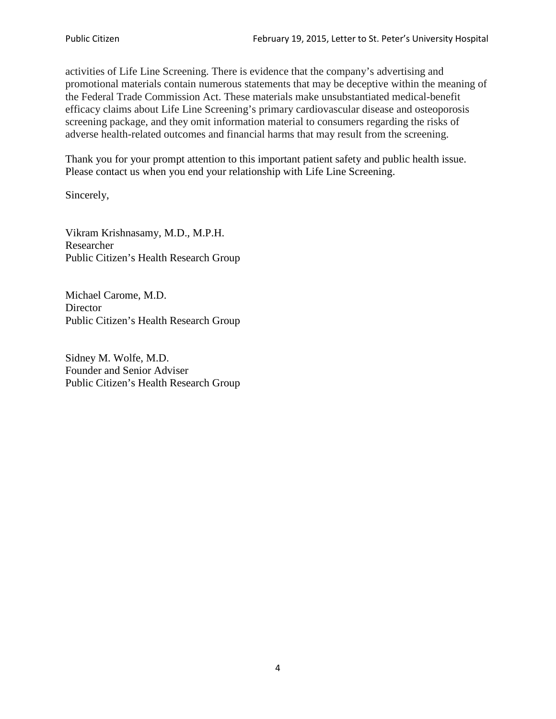activities of Life Line Screening. There is evidence that the company's advertising and promotional materials contain numerous statements that may be deceptive within the meaning of the Federal Trade Commission Act. These materials make unsubstantiated medical-benefit efficacy claims about Life Line Screening's primary cardiovascular disease and osteoporosis screening package, and they omit information material to consumers regarding the risks of adverse health-related outcomes and financial harms that may result from the screening.

Thank you for your prompt attention to this important patient safety and public health issue. Please contact us when you end your relationship with Life Line Screening.

Sincerely,

Vikram Krishnasamy, M.D., M.P.H. Researcher Public Citizen's Health Research Group

Michael Carome, M.D. **Director** Public Citizen's Health Research Group

Sidney M. Wolfe, M.D. Founder and Senior Adviser Public Citizen's Health Research Group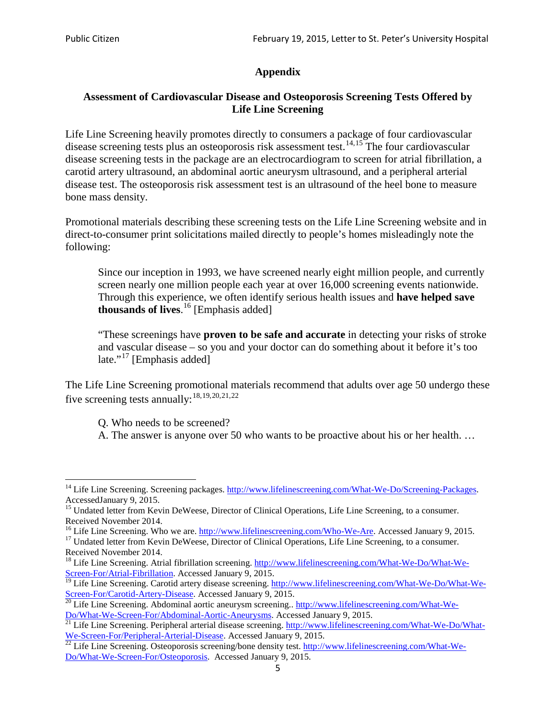# **Appendix**

## **Assessment of Cardiovascular Disease and Osteoporosis Screening Tests Offered by Life Line Screening**

Life Line Screening heavily promotes directly to consumers a package of four cardiovascular disease screening tests plus an osteoporosis risk assessment test.<sup>[14](#page-4-0),[15](#page-4-1)</sup> The four cardiovascular disease screening tests in the package are an electrocardiogram to screen for atrial fibrillation, a carotid artery ultrasound, an abdominal aortic aneurysm ultrasound, and a peripheral arterial disease test. The osteoporosis risk assessment test is an ultrasound of the heel bone to measure bone mass density.

Promotional materials describing these screening tests on the Life Line Screening website and in direct-to-consumer print solicitations mailed directly to people's homes misleadingly note the following:

Since our inception in 1993, we have screened nearly eight million people, and currently screen nearly one million people each year at over 16,000 screening events nationwide. Through this experience, we often identify serious health issues and **have helped save thousands of lives**. [16](#page-4-2) [Emphasis added]

"These screenings have **proven to be safe and accurate** in detecting your risks of stroke and vascular disease – so you and your doctor can do something about it before it's too late."<sup>[17](#page-4-3)</sup> [Emphasis added]

The Life Line Screening promotional materials recommend that adults over age 50 undergo these five screening tests annually:<sup>[18](#page-4-4),[19,](#page-4-5)[20,](#page-4-6)[21](#page-4-7),[22](#page-4-8)</sup>

Q. Who needs to be screened?

A. The answer is anyone over 50 who wants to be proactive about his or her health. …

Received November 2014.<br><sup>16</sup> Life Line Screening. Who we are. http://www.lifelinescreening.com/Who-We-Are. Accessed January 9, 2015.

<span id="page-4-3"></span><span id="page-4-2"></span><sup>17</sup> Undated letter from Kevin DeWeese, Director of Clinical Operations, Life Line Screening, to a consumer. Received November 2014.

<span id="page-4-0"></span><sup>&</sup>lt;sup>14</sup> Life Line Screening. Screening packages. [http://www.lifelinescreening.com/What-We-Do/Screening-Packages.](http://www.lifelinescreening.com/What-We-Do/Screening-Packages) AccessedJanuary 9, 2015.

<span id="page-4-1"></span><sup>&</sup>lt;sup>15</sup> Undated letter from Kevin DeWeese, Director of Clinical Operations, Life Line Screening, to a consumer.

<span id="page-4-4"></span><sup>&</sup>lt;sup>18</sup> Life Line Screening. Atrial fibrillation screening. [http://www.lifelinescreening.com/What-We-Do/What-We-](http://www.lifelinescreening.com/What-We-Do/What-We-Screen-For/Atrial-Fibrillation)[Screen-For/Atrial-Fibrillation.](http://www.lifelinescreening.com/What-We-Do/What-We-Screen-For/Atrial-Fibrillation) Accessed January 9, 2015.

<sup>&</sup>lt;sup>19</sup> Life Line Screening. Carotid artery disease screening. [http://www.lifelinescreening.com/What-We-Do/What-We-](http://www.lifelinescreening.com/What-We-Do/What-We-Screen-For/Carotid-Artery-Disease)

<span id="page-4-6"></span><span id="page-4-5"></span>[Screen-For/Carotid-Artery-Disease.](http://www.lifelinescreening.com/What-We-Do/What-We-Screen-For/Carotid-Artery-Disease) Accessed January 9, 2015.<br><sup>20</sup> Life Line Screening. Abdominal aortic aneurysm screening.. http://www.lifelinescreening.com/What-We-Do/What-We-Do/What-We-Screen-For/Abdominal-Aortic-Aneury

<span id="page-4-7"></span><sup>&</sup>lt;sup>21</sup> Life Line Screening. Peripheral arterial disease screening. [http://www.lifelinescreening.com/What-We-Do/What-](http://www.lifelinescreening.com/What-We-Do/What-We-Screen-For/Peripheral-Arterial-Disease)

<span id="page-4-8"></span>[We-Screen-For/Peripheral-Arterial-Disease.](http://www.lifelinescreening.com/What-We-Do/What-We-Screen-For/Peripheral-Arterial-Disease) Accessed January 9, 2015.<br><sup>22</sup> Life Line Screening. Osteoporosis screening/bone density test. [http://www.lifelinescreening.com/What-We-](http://www.lifelinescreening.com/What-We-Do/What-We-Screen-For/Osteoporosis)[Do/What-We-Screen-For/Osteoporosis.](http://www.lifelinescreening.com/What-We-Do/What-We-Screen-For/Osteoporosis) Accessed January 9, 2015.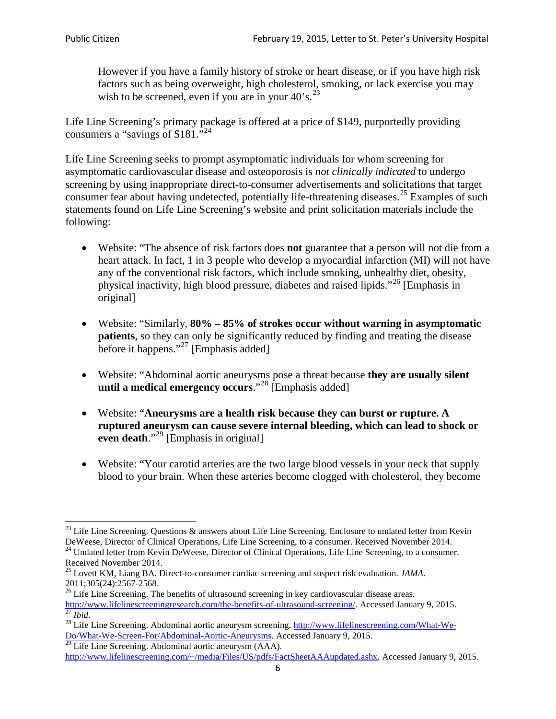However if you have a family history of stroke or heart disease, or if you have high risk factors such as being overweight, high cholesterol, smoking, or lack exercise you may wish to be screened, even if you are in your  $40^{\circ}$ s.<sup>[23](#page-5-0)</sup>

Life Line Screening's primary package is offered at a price of \$149, purportedly providing consumers a "savings of \$181."[24](#page-5-1)

Life Line Screening seeks to prompt asymptomatic individuals for whom screening for asymptomatic cardiovascular disease and osteoporosis is *not clinically indicated* to undergo screening by using inappropriate direct-to-consumer advertisements and solicitations that target consumer fear about having undetected, potentially life-threatening diseases.<sup>[25](#page-5-2)</sup> Examples of such statements found on Life Line Screening's website and print solicitation materials include the following:

- Website: "The absence of risk factors does **not** guarantee that a person will not die from a heart attack. In fact, 1 in 3 people who develop a myocardial infarction (MI) will not have any of the conventional risk factors, which include smoking, unhealthy diet, obesity, physical inactivity, high blood pressure, diabetes and raised lipids."[26](#page-5-3) [Emphasis in original]
- Website: "Similarly, **80% – 85% of strokes occur without warning in asymptomatic patients**, so they can only be significantly reduced by finding and treating the disease before it happens."<sup>[27](#page-5-4)</sup> [Emphasis added]
- Website: "Abdominal aortic aneurysms pose a threat because **they are usually silent until a medical emergency occurs**."[28](#page-5-5) [Emphasis added]
- Website: "**Aneurysms are a health risk because they can burst or rupture. A ruptured aneurysm can cause severe internal bleeding, which can lead to shock or even death.**"<sup>[29](#page-5-6)</sup> [Emphasis in original]
- Website: "Your carotid arteries are the two large blood vessels in your neck that supply blood to your brain. When these arteries become clogged with cholesterol, they become

<span id="page-5-0"></span><sup>&</sup>lt;sup>23</sup> Life Line Screening. Questions  $\&$  answers about Life Line Screening. Enclosure to undated letter from Kevin DeWeese, Director of Clinical Operations, Life Line Screening, to a consumer. Received November 2014.

<span id="page-5-1"></span><sup>&</sup>lt;sup>24</sup> Undated letter from Kevin DeWeese, Director of Clinical Operations, Life Line Screening, to a consumer. Received November 2014.

<span id="page-5-2"></span><sup>25</sup> Lovett KM, Liang BA. Direct-to-consumer cardiac screening and suspect risk evaluation. *JAMA*.  $2011;305(24):2567-2568$ .<br><sup>26</sup> Life Line Screening. The benefits of ultrasound screening in key cardiovascular disease areas.

<span id="page-5-3"></span>[http://www.lifelinescreeningresearch.com/the-benefits-of-ultrasound-screening/.](http://www.lifelinescreeningresearch.com/the-benefits-of-ultrasound-screening/) Accessed January 9, 2015.<br><sup>28</sup> Life Line Screening. Abdominal aortic aneurysm screening. http://www.lifelinescreening.com/What-We-<sup>28</sup>

<span id="page-5-5"></span><span id="page-5-4"></span>[Do/What-We-Screen-For/Abdominal-Aortic-Aneurysms.](http://www.lifelinescreening.com/What-We-Do/What-We-Screen-For/Abdominal-Aortic-Aneurysms) Accessed January 9, 2015. <sup>29</sup> Life Line Screening. Abdominal aortic aneurysm (AAA).

<span id="page-5-6"></span>[http://www.lifelinescreening.com/~/media/Files/US/pdfs/FactSheetAAAupdated.ashx.](http://www.lifelinescreening.com/~/media/Files/US/pdfs/FactSheetAAAupdated.ashx) Accessed January 9, 2015.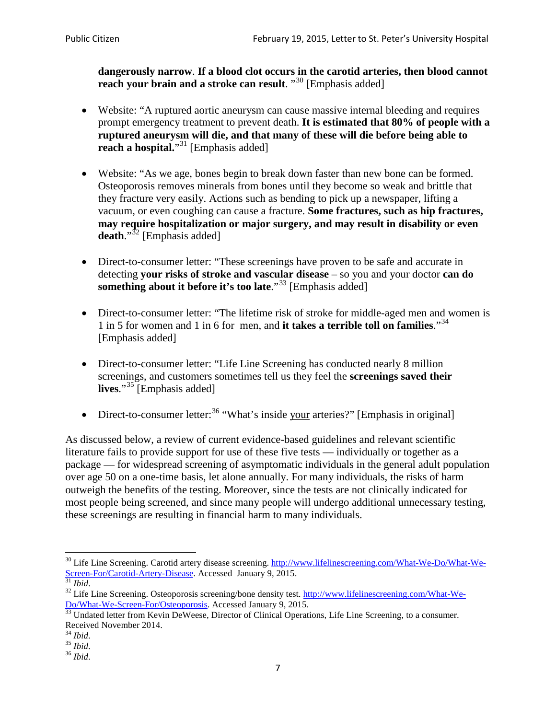**dangerously narrow**. **If a blood clot occurs in the carotid arteries, then blood cannot reach your brain and a stroke can result**. "<sup>[30](#page-6-0)</sup> [Emphasis added]

- Website: "A ruptured aortic aneurysm can cause massive internal bleeding and requires prompt emergency treatment to prevent death. **It is estimated that 80% of people with a ruptured aneurysm will die, and that many of these will die before being able to reach a hospital.**"<sup>[31](#page-6-1)</sup> [Emphasis added]
- Website: "As we age, bones begin to break down faster than new bone can be formed. Osteoporosis removes minerals from bones until they become so weak and brittle that they fracture very easily. Actions such as bending to pick up a newspaper, lifting a vacuum, or even coughing can cause a fracture. **Some fractures, such as hip fractures, may require hospitalization or major surgery, and may result in disability or even**  death."<sup>[32](#page-6-2)</sup> [Emphasis added]
- Direct-to-consumer letter: "These screenings have proven to be safe and accurate in detecting **your risks of stroke and vascular disease** – so you and your doctor **can do something about it before it's too late**."<sup>[33](#page-6-3)</sup> [Emphasis added]
- Direct-to-consumer letter: "The lifetime risk of stroke for middle-aged men and women is 1 in 5 for women and 1 in 6 for men, and **it takes a terrible toll on families**."[34](#page-6-4) [Emphasis added]
- Direct-to-consumer letter: "Life Line Screening has conducted nearly 8 million screenings, and customers sometimes tell us they feel the **screenings saved their lives**."[35](#page-6-5) [Emphasis added]
- Direct-to-consumer letter:  $36$  "What's inside your arteries?" [Emphasis in original]

As discussed below, a review of current evidence-based guidelines and relevant scientific literature fails to provide support for use of these five tests — individually or together as a package — for widespread screening of asymptomatic individuals in the general adult population over age 50 on a one-time basis, let alone annually. For many individuals, the risks of harm outweigh the benefits of the testing. Moreover, since the tests are not clinically indicated for most people being screened, and since many people will undergo additional unnecessary testing, these screenings are resulting in financial harm to many individuals.

<span id="page-6-0"></span><sup>&</sup>lt;sup>30</sup> Life Line Screening. Carotid artery disease screening. [http://www.lifelinescreening.com/What-We-Do/What-We-](http://www.lifelinescreening.com/What-We-Do/What-We-Screen-For/Carotid-Artery-Disease)[Screen-For/Carotid-Artery-Disease.](http://www.lifelinescreening.com/What-We-Do/What-We-Screen-For/Carotid-Artery-Disease) Accessed January 9, 2015.<br><sup>31</sup> *Ibid.* 32 Life Line Screening. Osteoporosis screening/bone density test. [http://www.lifelinescreening.com/What-We-](http://www.lifelinescreening.com/What-We-Do/What-We-Screen-For/Osteoporosis)

<span id="page-6-2"></span><span id="page-6-1"></span>[Do/What-We-Screen-For/Osteoporosis.](http://www.lifelinescreening.com/What-We-Do/What-We-Screen-For/Osteoporosis) Accessed January 9, 2015. <sup>33</sup> Undated letter from Kevin DeWeese, Director of Clinical Operations, Life Line Screening, to a consumer.

<span id="page-6-3"></span>Received November 2014.<br><sup>34</sup> Ibid.

<span id="page-6-4"></span>

<span id="page-6-5"></span><sup>34</sup> *Ibid*. 35 *Ibid*. 36 *Ibid*.

<span id="page-6-6"></span>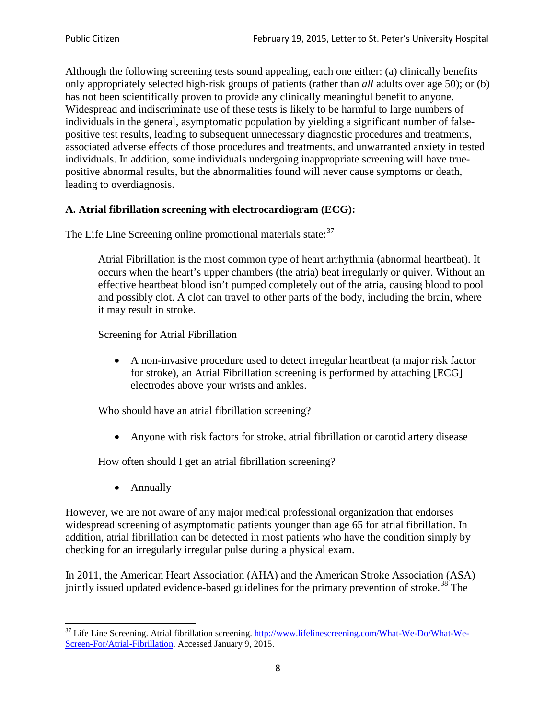Although the following screening tests sound appealing, each one either: (a) clinically benefits only appropriately selected high-risk groups of patients (rather than *all* adults over age 50); or (b) has not been scientifically proven to provide any clinically meaningful benefit to anyone. Widespread and indiscriminate use of these tests is likely to be harmful to large numbers of individuals in the general, asymptomatic population by yielding a significant number of falsepositive test results, leading to subsequent unnecessary diagnostic procedures and treatments, associated adverse effects of those procedures and treatments, and unwarranted anxiety in tested individuals. In addition, some individuals undergoing inappropriate screening will have truepositive abnormal results, but the abnormalities found will never cause symptoms or death, leading to overdiagnosis.

# **A. Atrial fibrillation screening with electrocardiogram (ECG):**

The Life Line Screening online promotional materials state:<sup>[37](#page-7-0)</sup>

Atrial Fibrillation is the most common type of heart arrhythmia (abnormal heartbeat). It occurs when the heart's upper chambers (the atria) beat irregularly or quiver. Without an effective heartbeat blood isn't pumped completely out of the atria, causing blood to pool and possibly clot. A clot can travel to other parts of the body, including the brain, where it may result in stroke.

Screening for Atrial Fibrillation

• A non-invasive procedure used to detect irregular heartbeat (a major risk factor for stroke), an Atrial Fibrillation screening is performed by attaching [ECG] electrodes above your wrists and ankles.

Who should have an atrial fibrillation screening?

• Anyone with risk factors for stroke, atrial fibrillation or carotid artery disease

How often should I get an atrial fibrillation screening?

• Annually

<span id="page-7-1"></span>However, we are not aware of any major medical professional organization that endorses widespread screening of asymptomatic patients younger than age 65 for atrial fibrillation. In addition, atrial fibrillation can be detected in most patients who have the condition simply by checking for an irregularly irregular pulse during a physical exam.

In 2011, the American Heart Association (AHA) and the American Stroke Association (ASA) jointly issued updated evidence-based guidelines for the primary prevention of stroke.<sup>[38](#page-7-1)</sup> The

<span id="page-7-0"></span><sup>&</sup>lt;sup>37</sup> Life Line Screening. Atrial fibrillation screening. [http://www.lifelinescreening.com/What-We-Do/What-We-](http://www.lifelinescreening.com/What-We-Do/What-We-Screen-For/Atrial-Fibrillation)[Screen-For/Atrial-Fibrillation.](http://www.lifelinescreening.com/What-We-Do/What-We-Screen-For/Atrial-Fibrillation) Accessed January 9, 2015.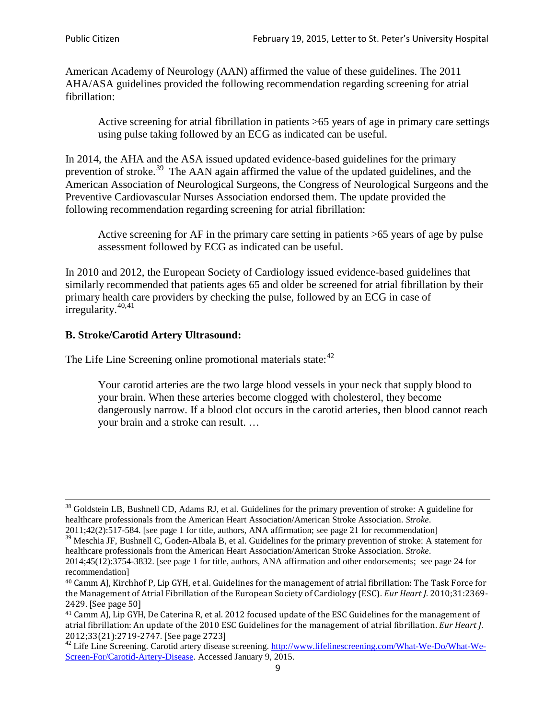American Academy of Neurology (AAN) affirmed the value of these guidelines. The 2011 AHA/ASA guidelines provided the following recommendation regarding screening for atrial fibrillation:

Active screening for atrial fibrillation in patients >65 years of age in primary care settings using pulse taking followed by an ECG as indicated can be useful.

In 2014, the AHA and the ASA issued updated evidence-based guidelines for the primary prevention of stroke.<sup>[39](#page-8-0)</sup> The AAN again affirmed the value of the updated guidelines, and the American Association of Neurological Surgeons, the Congress of Neurological Surgeons and the Preventive Cardiovascular Nurses Association endorsed them. The update provided the following recommendation regarding screening for atrial fibrillation:

Active screening for AF in the primary care setting in patients >65 years of age by pulse assessment followed by ECG as indicated can be useful.

In 2010 and 2012, the European Society of Cardiology issued evidence-based guidelines that similarly recommended that patients ages 65 and older be screened for atrial fibrillation by their primary health care providers by checking the pulse, followed by an ECG in case of irregularity. $40,41$  $40,41$ 

# **B. Stroke/Carotid Artery Ultrasound:**

The Life Line Screening online promotional materials state:<sup>[42](#page-8-3)</sup>

Your carotid arteries are the two large blood vessels in your neck that supply blood to your brain. When these arteries become clogged with cholesterol, they become dangerously narrow. If a blood clot occurs in the carotid arteries, then blood cannot reach your brain and a stroke can result. …

<sup>&</sup>lt;sup>38</sup> Goldstein LB, Bushnell CD, Adams RJ, et al. Guidelines for the primary prevention of stroke: A guideline for healthcare professionals from the American Heart Association/American Stroke Association. *Stroke*.

<sup>2011;42(2):517-584.</sup> [see page 1 for title, authors, ANA affirmation; see page 21 for recommendation]

<span id="page-8-0"></span> $\frac{2011,42(2)(317,601)}{39}$  Meschia JF, Bushnell C, Goden-Albala B, et al. Guidelines for the primary prevention of stroke: A statement for healthcare professionals from the American Heart Association/American Stroke Association. *Stroke*.

<sup>2014;45(12):3754-3832.</sup> [see page 1 for title, authors, ANA affirmation and other endorsements; see page 24 for recommendation]

<span id="page-8-1"></span><sup>40</sup> Camm AJ, Kirchhof P, Lip GYH, et al. Guidelines for the management of atrial fibrillation: The Task Force for the Management of Atrial Fibrillation of the European Society of Cardiology (ESC). *Eur Heart J*. 2010;31:2369- 2429. [See page 50]

<span id="page-8-2"></span><sup>41</sup> Camm AJ, Lip GYH, De Caterina R, et al. 2012 focused update of the ESC Guidelines for the management of atrial fibrillation: An update of the 2010 ESC Guidelines for the management of atrial fibrillation. *Eur Heart J*.

<span id="page-8-3"></span><sup>&</sup>lt;sup>2012</sup>;23(21):2719-2747. [See page 273] 42 Life Line Screening. [http://www.lifelinescreening.com/What-We-Do/What-We-](http://www.lifelinescreening.com/What-We-Do/What-We-Screen-For/Carotid-Artery-Disease)[Screen-For/Carotid-Artery-Disease.](http://www.lifelinescreening.com/What-We-Do/What-We-Screen-For/Carotid-Artery-Disease) Accessed January 9, 2015.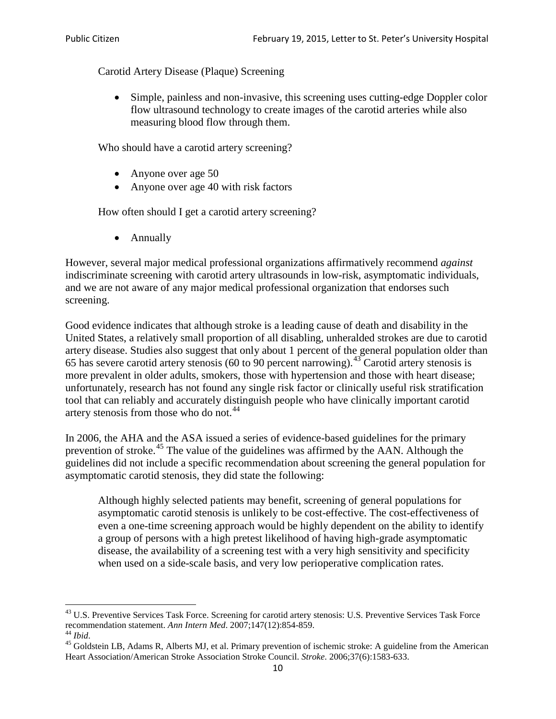Carotid Artery Disease (Plaque) Screening

• Simple, painless and non-invasive, this screening uses cutting-edge Doppler color flow ultrasound technology to create images of the carotid arteries while also measuring blood flow through them.

Who should have a carotid artery screening?

- Anyone over age 50
- Anyone over age 40 with risk factors

How often should I get a carotid artery screening?

• Annually

However, several major medical professional organizations affirmatively recommend *against* indiscriminate screening with carotid artery ultrasounds in low-risk, asymptomatic individuals, and we are not aware of any major medical professional organization that endorses such screening.

Good evidence indicates that although stroke is a leading cause of death and disability in the United States, a relatively small proportion of all disabling, unheralded strokes are due to carotid artery disease. Studies also suggest that only about 1 percent of the general population older than 65 has severe carotid artery stenosis (60 to 90 percent narrowing).<sup>[43](#page-9-0)</sup> Carotid artery stenosis is more prevalent in older adults, smokers, those with hypertension and those with heart disease; unfortunately, research has not found any single risk factor or clinically useful risk stratification tool that can reliably and accurately distinguish people who have clinically important carotid artery stenosis from those who do not.<sup>[44](#page-9-1)</sup>

In 2006, the AHA and the ASA issued a series of evidence-based guidelines for the primary prevention of stroke.<sup>[45](#page-9-2)</sup> The value of the guidelines was affirmed by the AAN. Although the guidelines did not include a specific recommendation about screening the general population for asymptomatic carotid stenosis, they did state the following:

Although highly selected patients may benefit, screening of general populations for asymptomatic carotid stenosis is unlikely to be cost-effective. The cost-effectiveness of even a one-time screening approach would be highly dependent on the ability to identify a group of persons with a high pretest likelihood of having high-grade asymptomatic disease, the availability of a screening test with a very high sensitivity and specificity when used on a side-scale basis, and very low perioperative complication rates.

<span id="page-9-0"></span> $^{43}$  U.S. Preventive Services Task Force. Screening for carotid artery stenosis: U.S. Preventive Services Task Force recommendation statement. Ann Intern Med. 2007;147(12):854-859.

<span id="page-9-2"></span>

<span id="page-9-1"></span><sup>&</sup>lt;sup>44</sup> *Ibid*. <sup>45</sup> Goldstein LB, Adams R, Alberts MJ, et al. Primary prevention of ischemic stroke: A guideline from the American <sup>45</sup> Goldstein LB, Adams R, Alberts MJ, et al. Primary prevention of ischemic stroke: A guide Heart Association/American Stroke Association Stroke Council. *Stroke*. 2006;37(6):1583-633.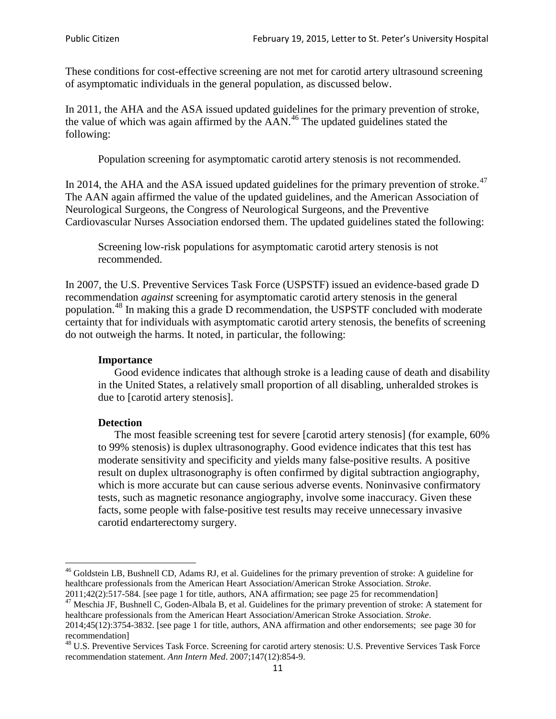These conditions for cost-effective screening are not met for carotid artery ultrasound screening of asymptomatic individuals in the general population, as discussed below.

In 2011, the AHA and the ASA issued updated guidelines for the primary prevention of stroke, the value of which was again affirmed by the  $AAN<sup>46</sup>$  $AAN<sup>46</sup>$  $AAN<sup>46</sup>$ . The updated guidelines stated the following:

Population screening for asymptomatic carotid artery stenosis is not recommended.

In 2014, the AHA and the ASA issued updated guidelines for the primary prevention of stroke.<sup>47</sup> The AAN again affirmed the value of the updated guidelines, and the American Association of Neurological Surgeons, the Congress of Neurological Surgeons, and the Preventive Cardiovascular Nurses Association endorsed them. The updated guidelines stated the following:

Screening low-risk populations for asymptomatic carotid artery stenosis is not recommended.

In 2007, the U.S. Preventive Services Task Force (USPSTF) issued an evidence-based grade D recommendation *against* screening for asymptomatic carotid artery stenosis in the general population.[48](#page-10-2) In making this a grade D recommendation, the USPSTF concluded with moderate certainty that for individuals with asymptomatic carotid artery stenosis, the benefits of screening do not outweigh the harms. It noted, in particular, the following:

#### **Importance**

Good evidence indicates that although stroke is a leading cause of death and disability in the United States, a relatively small proportion of all disabling, unheralded strokes is due to [carotid artery stenosis].

#### **Detection**

The most feasible screening test for severe [carotid artery stenosis] (for example, 60% to 99% stenosis) is duplex ultrasonography. Good evidence indicates that this test has moderate sensitivity and specificity and yields many false-positive results. A positive result on duplex ultrasonography is often confirmed by digital subtraction angiography, which is more accurate but can cause serious adverse events. Noninvasive confirmatory tests, such as magnetic resonance angiography, involve some inaccuracy. Given these facts, some people with false-positive test results may receive unnecessary invasive carotid endarterectomy surgery.

<span id="page-10-0"></span><sup>&</sup>lt;sup>46</sup> Goldstein LB, Bushnell CD, Adams RJ, et al. Guidelines for the primary prevention of stroke: A guideline for healthcare professionals from the American Heart Association/American Stroke Association. *Stroke*.<br>2011;42(2):517-584. [see page 1 for title, authors, ANA affirmation; see page 25 for recommendation]

<span id="page-10-1"></span><sup>&</sup>lt;sup>47</sup> Meschia JF, Bushnell C, Goden-Albala B, et al. Guidelines for the primary prevention of stroke: A statement for healthcare professionals from the American Heart Association/American Stroke Association. *Stroke*. 2014;45(12):3754-3832. [see page 1 for title, authors, ANA affirmation and other endorsements; see page 30 for

recommendation]

<span id="page-10-2"></span><sup>&</sup>lt;sup>48</sup> U.S. Preventive Services Task Force. Screening for carotid artery stenosis: U.S. Preventive Services Task Force recommendation statement. *Ann Intern Med*. 2007;147(12):854-9.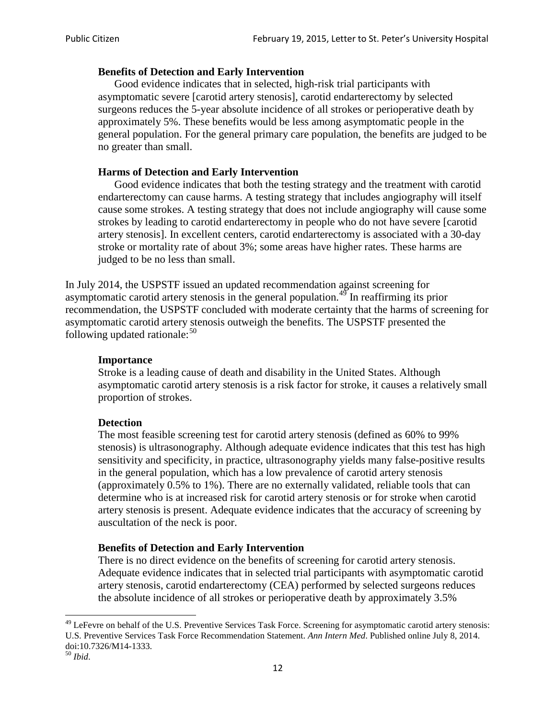### **Benefits of Detection and Early Intervention**

Good evidence indicates that in selected, high-risk trial participants with asymptomatic severe [carotid artery stenosis], carotid endarterectomy by selected surgeons reduces the 5-year absolute incidence of all strokes or perioperative death by approximately 5%. These benefits would be less among asymptomatic people in the general population. For the general primary care population, the benefits are judged to be no greater than small.

## **Harms of Detection and Early Intervention**

Good evidence indicates that both the testing strategy and the treatment with carotid endarterectomy can cause harms. A testing strategy that includes angiography will itself cause some strokes. A testing strategy that does not include angiography will cause some strokes by leading to carotid endarterectomy in people who do not have severe [carotid artery stenosis]. In excellent centers, carotid endarterectomy is associated with a 30-day stroke or mortality rate of about 3%; some areas have higher rates. These harms are judged to be no less than small.

In July 2014, the USPSTF issued an updated recommendation against screening for asymptomatic carotid artery stenosis in the general population.<sup>[49](#page-11-0)</sup> In reaffirming its prior recommendation, the USPSTF concluded with moderate certainty that the harms of screening for asymptomatic carotid artery stenosis outweigh the benefits. The USPSTF presented the following updated rationale: $50$ 

#### **Importance**

Stroke is a leading cause of death and disability in the United States. Although asymptomatic carotid artery stenosis is a risk factor for stroke, it causes a relatively small proportion of strokes.

#### **Detection**

The most feasible screening test for carotid artery stenosis (defined as 60% to 99% stenosis) is ultrasonography. Although adequate evidence indicates that this test has high sensitivity and specificity, in practice, ultrasonography yields many false-positive results in the general population, which has a low prevalence of carotid artery stenosis (approximately 0.5% to 1%). There are no externally validated, reliable tools that can determine who is at increased risk for carotid artery stenosis or for stroke when carotid artery stenosis is present. Adequate evidence indicates that the accuracy of screening by auscultation of the neck is poor.

## **Benefits of Detection and Early Intervention**

There is no direct evidence on the benefits of screening for carotid artery stenosis. Adequate evidence indicates that in selected trial participants with asymptomatic carotid artery stenosis, carotid endarterectomy (CEA) performed by selected surgeons reduces the absolute incidence of all strokes or perioperative death by approximately 3.5%

<span id="page-11-0"></span><sup>&</sup>lt;sup>49</sup> LeFevre on behalf of the U.S. Preventive Services Task Force. Screening for asymptomatic carotid artery stenosis: U.S. Preventive Services Task Force Recommendation Statement. *Ann Intern Med*. Published online July 8, 2014. doi:10.7326/M14-1333. <sup>50</sup> *Ibid*.

<span id="page-11-1"></span>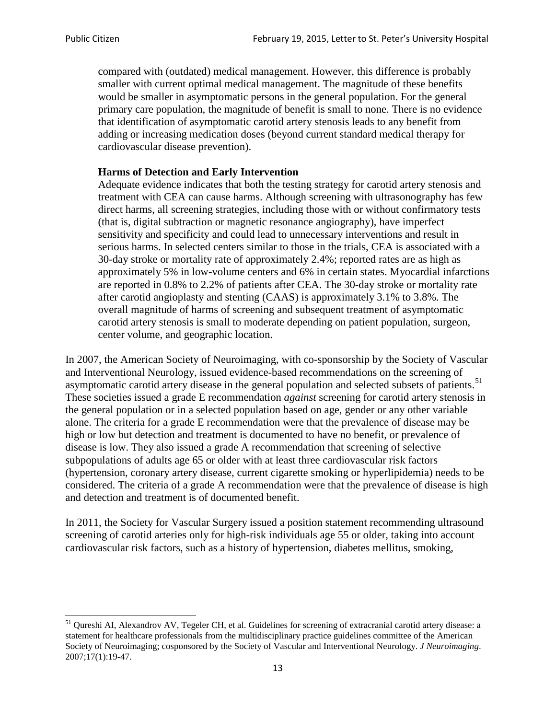compared with (outdated) medical management. However, this difference is probably smaller with current optimal medical management. The magnitude of these benefits would be smaller in asymptomatic persons in the general population. For the general primary care population, the magnitude of benefit is small to none. There is no evidence that identification of asymptomatic carotid artery stenosis leads to any benefit from adding or increasing medication doses (beyond current standard medical therapy for cardiovascular disease prevention).

#### **Harms of Detection and Early Intervention**

Adequate evidence indicates that both the testing strategy for carotid artery stenosis and treatment with CEA can cause harms. Although screening with ultrasonography has few direct harms, all screening strategies, including those with or without confirmatory tests (that is, digital subtraction or magnetic resonance angiography), have imperfect sensitivity and specificity and could lead to unnecessary interventions and result in serious harms. In selected centers similar to those in the trials, CEA is associated with a 30-day stroke or mortality rate of approximately 2.4%; reported rates are as high as approximately 5% in low-volume centers and 6% in certain states. Myocardial infarctions are reported in 0.8% to 2.2% of patients after CEA. The 30-day stroke or mortality rate after carotid angioplasty and stenting (CAAS) is approximately 3.1% to 3.8%. The overall magnitude of harms of screening and subsequent treatment of asymptomatic carotid artery stenosis is small to moderate depending on patient population, surgeon, center volume, and geographic location.

In 2007, the American Society of Neuroimaging, with co-sponsorship by the Society of Vascular and Interventional Neurology, issued evidence-based recommendations on the screening of asymptomatic carotid artery disease in the general population and selected subsets of patients.<sup>[51](#page-12-0)</sup> These societies issued a grade E recommendation *against* screening for carotid artery stenosis in the general population or in a selected population based on age, gender or any other variable alone. The criteria for a grade E recommendation were that the prevalence of disease may be high or low but detection and treatment is documented to have no benefit, or prevalence of disease is low. They also issued a grade A recommendation that screening of selective subpopulations of adults age 65 or older with at least three cardiovascular risk factors (hypertension, coronary artery disease, current cigarette smoking or hyperlipidemia) needs to be considered. The criteria of a grade A recommendation were that the prevalence of disease is high and detection and treatment is of documented benefit.

In 2011, the Society for Vascular Surgery issued a position statement recommending ultrasound screening of carotid arteries only for high-risk individuals age 55 or older, taking into account cardiovascular risk factors, such as a history of hypertension, diabetes mellitus, smoking,

<span id="page-12-0"></span><sup>&</sup>lt;sup>51</sup> Qureshi AI, Alexandrov AV, Tegeler CH, et al. Guidelines for screening of extracranial carotid artery disease: a statement for healthcare professionals from the multidisciplinary practice guidelines committee of the American Society of Neuroimaging; cosponsored by the Society of Vascular and Interventional Neurology. *J Neuroimaging*. 2007;17(1):19-47.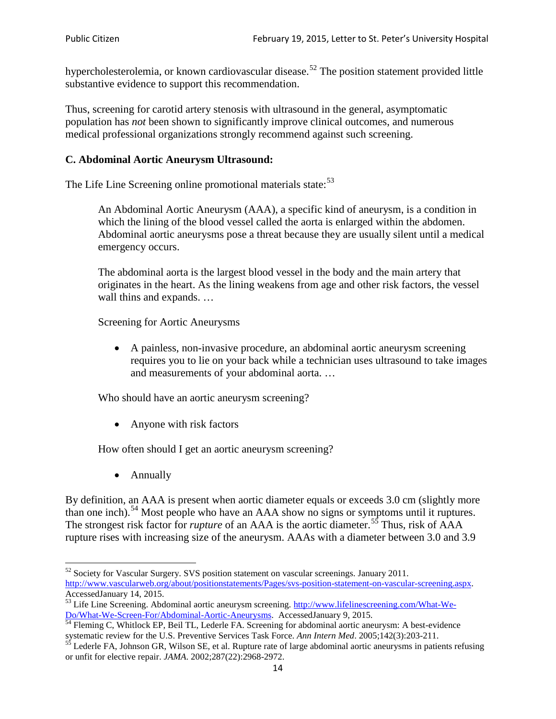hypercholesterolemia, or known cardiovascular disease.<sup>[52](#page-13-0)</sup> The position statement provided little substantive evidence to support this recommendation.

Thus, screening for carotid artery stenosis with ultrasound in the general, asymptomatic population has *not* been shown to significantly improve clinical outcomes, and numerous medical professional organizations strongly recommend against such screening.

### **C. Abdominal Aortic Aneurysm Ultrasound:**

The Life Line Screening online promotional materials state:<sup>[53](#page-13-1)</sup>

An Abdominal Aortic Aneurysm (AAA), a specific kind of aneurysm, is a condition in which the lining of the blood vessel called the aorta is enlarged within the abdomen. Abdominal aortic aneurysms pose a threat because they are usually silent until a medical emergency occurs.

The abdominal aorta is the largest blood vessel in the body and the main artery that originates in the heart. As the lining weakens from age and other risk factors, the vessel wall thins and expands. …

Screening for Aortic Aneurysms

• A painless, non-invasive procedure, an abdominal aortic aneurysm screening requires you to lie on your back while a technician uses ultrasound to take images and measurements of your abdominal aorta. …

Who should have an aortic aneurysm screening?

• Anyone with risk factors

How often should I get an aortic aneurysm screening?

• Annually

By definition, an AAA is present when aortic diameter equals or exceeds 3.0 cm (slightly more than one inch).<sup>[54](#page-13-2)</sup> Most people who have an AAA show no signs or symptoms until it ruptures. The strongest risk factor for *rupture* of an AAA is the aortic diameter.<sup>[55](#page-13-3)</sup> Thus, risk of AAA rupture rises with increasing size of the aneurysm. AAAs with a diameter between 3.0 and 3.9

<span id="page-13-0"></span> $52$  Society for Vascular Surgery. SVS position statement on vascular screenings. January 2011. http://www.vascularweb.org/about/positionstatements/Pages/svs-position-statement-on-vascular-screening.aspx.<br>Accessed January 14, 2015.

<span id="page-13-1"></span>Accessed January 14, 2015.<br>
Sa Life Line Screening. Abdominal aortic aneurysm screening. http://www.lifelinescreening.com/What-We-<br>
Do/What-We-Screen-For/Abdominal-Aortic-Aneurysms. Accessed January 9, 2015.

<span id="page-13-2"></span> $\frac{1}{54}$  Fleming C, Whitlock EP, Beil TL, Lederle FA. Screening for abdominal aortic aneurysm: A best-evidence systematic review for the U.S. Preventive Services Task Force. *Ann Intern Med.* 2005;142(3):203-211.<br><sup>55</sup> Lederle FA, Johnson GR, Wilson SE, et al. Rupture rate of large abdominal aortic aneurysms in patients refusing

<span id="page-13-3"></span>or unfit for elective repair. *JAMA*. 2002;287(22):2968-2972.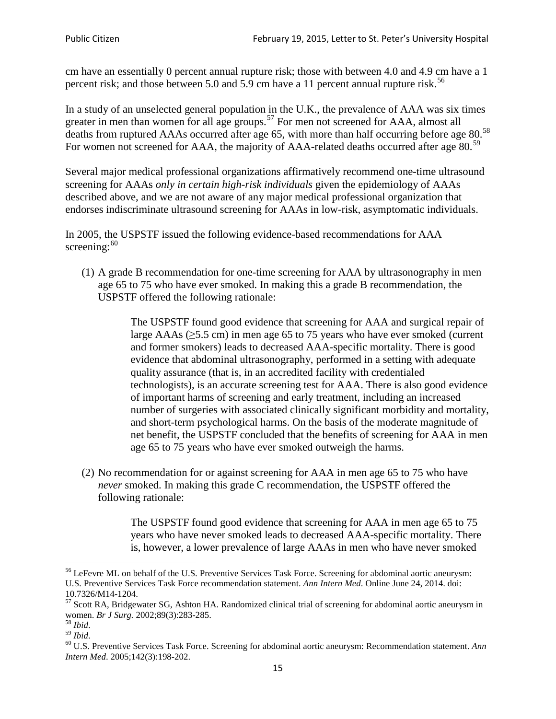cm have an essentially 0 percent annual rupture risk; those with between 4.0 and 4.9 cm have a 1 percent risk; and those between 5.0 and 5.9 cm have a 11 percent annual rupture risk.<sup>[56](#page-14-0)</sup>

In a study of an unselected general population in the U.K., the prevalence of AAA was six times greater in men than women for all age groups.<sup>[57](#page-14-1)</sup> For men not screened for  $AAA$ , almost all deaths from ruptured AAAs occurred after age 65, with more than half occurring before age 80.<sup>[58](#page-14-2)</sup> For women not screened for AAA, the majority of AAA-related deaths occurred after age 80.<sup>[59](#page-14-3)</sup>

Several major medical professional organizations affirmatively recommend one-time ultrasound screening for AAAs *only in certain high-risk individuals* given the epidemiology of AAAs described above, and we are not aware of any major medical professional organization that endorses indiscriminate ultrasound screening for AAAs in low-risk, asymptomatic individuals.

In 2005, the USPSTF issued the following evidence-based recommendations for AAA screening:  $60$ 

(1) A grade B recommendation for one-time screening for AAA by ultrasonography in men age 65 to 75 who have ever smoked. In making this a grade [B recommendation,](http://www.uspreventiveservicestaskforce.org/uspstf/gradespre.htm#brec) the USPSTF offered the following rationale:

> The USPSTF found good evidence that screening for AAA and surgical repair of large AAAs ( $\geq$ 5.5 cm) in men age 65 to 75 years who have ever smoked (current and former smokers) leads to decreased AAA-specific mortality. There is good evidence that abdominal ultrasonography, performed in a setting with adequate quality assurance (that is, in an accredited facility with credentialed technologists), is an accurate screening test for AAA. There is also good evidence of important harms of screening and early treatment, including an increased number of surgeries with associated clinically significant morbidity and mortality, and short-term psychological harms. On the basis of the moderate magnitude of net benefit, the USPSTF concluded that the benefits of screening for AAA in men age 65 to 75 years who have ever smoked outweigh the harms.

(2) No recommendation for or against screening for AAA in men age 65 to 75 who have *never* smoked. In making this grade C recommendation, the USPSTF offered the following rationale:

> The USPSTF found good evidence that screening for AAA in men age 65 to 75 years who have never smoked leads to decreased AAA-specific mortality. There is, however, a lower prevalence of large AAAs in men who have never smoked

<span id="page-14-0"></span><sup>&</sup>lt;sup>56</sup> LeFevre ML on behalf of the U.S. Preventive Services Task Force. Screening for abdominal aortic aneurysm: U.S. Preventive Services Task Force recommendation statement. *Ann Intern Med*. Online June 24, 2014. doi:

<span id="page-14-1"></span><sup>10.7326/</sup>M14-1204.<br> $57$  Scott RA, Bridgewater SG, Ashton HA. Randomized clinical trial of screening for abdominal aortic aneurysm in women. *Br J Surg.* 2002;89(3):283-285.

<span id="page-14-4"></span><span id="page-14-3"></span>

<span id="page-14-2"></span><sup>&</sup>lt;sup>58</sup> *Ibid.*<br><sup>59</sup> *Ibid.* 2002;<br><sup>60</sup> U.S. Preventive Services Task Force. Screening for abdominal aortic aneurysm: Recommendation statement. *Ann Intern Med*. 2005;142(3):198-202.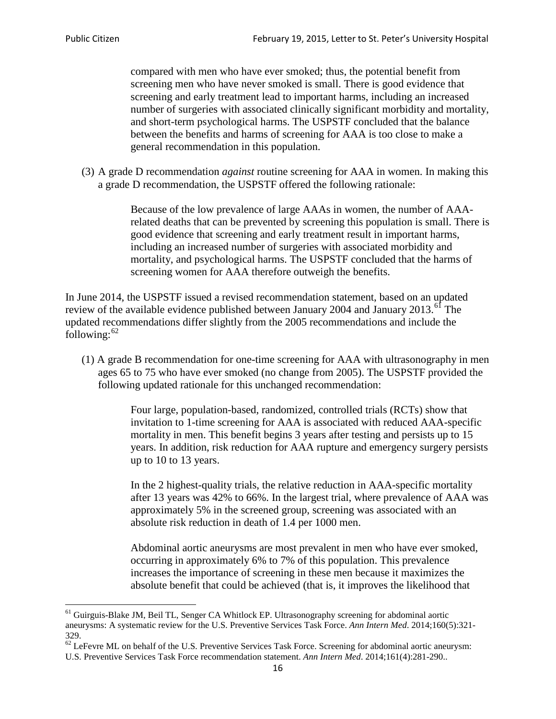compared with men who have ever smoked; thus, the potential benefit from screening men who have never smoked is small. There is good evidence that screening and early treatment lead to important harms, including an increased number of surgeries with associated clinically significant morbidity and mortality, and short-term psychological harms. The USPSTF concluded that the balance between the benefits and harms of screening for AAA is too close to make a general recommendation in this population.

(3) A grade D recommendation *against* routine screening for AAA in women. In making this a grade D recommendation, the USPSTF offered the following rationale:

> Because of the low prevalence of large AAAs in women, the number of AAArelated deaths that can be prevented by screening this population is small. There is good evidence that screening and early treatment result in important harms, including an increased number of surgeries with associated morbidity and mortality, and psychological harms. The USPSTF concluded that the harms of screening women for AAA therefore outweigh the benefits.

In June 2014, the USPSTF issued a revised recommendation statement, based on an updated review of the available evidence published between January 2004 and January 2013.<sup>[61](#page-15-0)</sup> The updated recommendations differ slightly from the 2005 recommendations and include the following: $62$ 

(1) A grade B recommendation for one-time screening for AAA with ultrasonography in men ages 65 to 75 who have ever smoked (no change from 2005). The USPSTF provided the following updated rationale for this unchanged recommendation:

> Four large, population-based, randomized, controlled trials (RCTs) show that invitation to 1-time screening for AAA is associated with reduced AAA-specific mortality in men. This benefit begins 3 years after testing and persists up to 15 years. In addition, risk reduction for AAA rupture and emergency surgery persists up to 10 to 13 years.

> In the 2 highest-quality trials, the relative reduction in AAA-specific mortality after 13 years was 42% to 66%. In the largest trial, where prevalence of AAA was approximately 5% in the screened group, screening was associated with an absolute risk reduction in death of 1.4 per 1000 men.

Abdominal aortic aneurysms are most prevalent in men who have ever smoked, occurring in approximately 6% to 7% of this population. This prevalence increases the importance of screening in these men because it maximizes the absolute benefit that could be achieved (that is, it improves the likelihood that

<span id="page-15-0"></span><sup>61</sup> Guirguis-Blake JM, Beil TL, Senger CA Whitlock EP. Ultrasonography screening for abdominal aortic aneurysms: A systematic review for the U.S. Preventive Services Task Force. *Ann Intern Med*. 2014;160(5):321- 329.

<span id="page-15-1"></span> $62$  LeFevre ML on behalf of the U.S. Preventive Services Task Force. Screening for abdominal aortic aneurysm: U.S. Preventive Services Task Force recommendation statement. *Ann Intern Med*. 2014;161(4):281-290..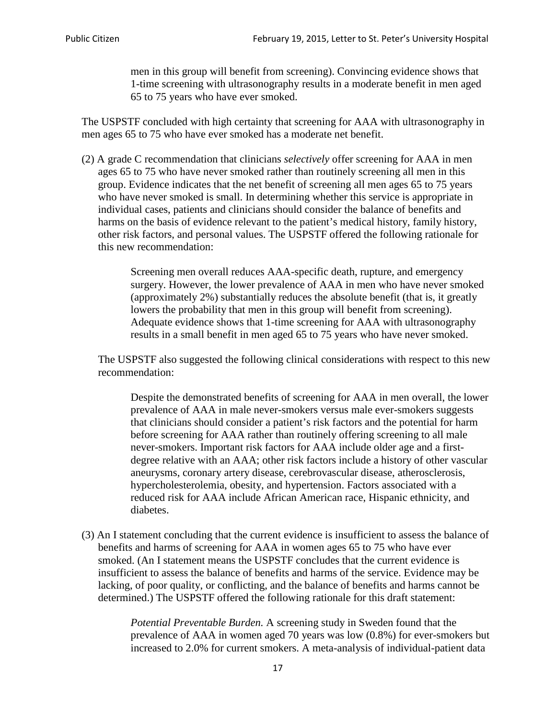men in this group will benefit from screening). Convincing evidence shows that 1-time screening with ultrasonography results in a moderate benefit in men aged 65 to 75 years who have ever smoked.

The USPSTF concluded with high certainty that screening for AAA with ultrasonography in men ages 65 to 75 who have ever smoked has a moderate net benefit.

(2) A grade C recommendation that clinicians *selectively* offer screening for AAA in men ages 65 to 75 who have never smoked rather than routinely screening all men in this group. Evidence indicates that the net benefit of screening all men ages 65 to 75 years who have never smoked is small. In determining whether this service is appropriate in individual cases, patients and clinicians should consider the balance of benefits and harms on the basis of evidence relevant to the patient's medical history, family history, other risk factors, and personal values. The USPSTF offered the following rationale for this new recommendation:

> Screening men overall reduces AAA-specific death, rupture, and emergency surgery. However, the lower prevalence of AAA in men who have never smoked (approximately 2%) substantially reduces the absolute benefit (that is, it greatly lowers the probability that men in this group will benefit from screening). Adequate evidence shows that 1-time screening for AAA with ultrasonography results in a small benefit in men aged 65 to 75 years who have never smoked.

The USPSTF also suggested the following clinical considerations with respect to this new recommendation:

Despite the demonstrated benefits of screening for AAA in men overall, the lower prevalence of AAA in male never-smokers versus male ever-smokers suggests that clinicians should consider a patient's risk factors and the potential for harm before screening for AAA rather than routinely offering screening to all male never-smokers. Important risk factors for AAA include older age and a firstdegree relative with an AAA; other risk factors include a history of other vascular aneurysms, coronary artery disease, cerebrovascular disease, atherosclerosis, hypercholesterolemia, obesity, and hypertension. Factors associated with a reduced risk for AAA include African American race, Hispanic ethnicity, and diabetes.

(3) An I statement concluding that the current evidence is insufficient to assess the balance of benefits and harms of screening for AAA in women ages 65 to 75 who have ever smoked. (An I statement means the USPSTF concludes that the current evidence is insufficient to assess the balance of benefits and harms of the service. Evidence may be lacking, of poor quality, or conflicting, and the balance of benefits and harms cannot be determined.) The USPSTF offered the following rationale for this draft statement:

> *Potential Preventable Burden.* A screening study in Sweden found that the prevalence of AAA in women aged 70 years was low (0.8%) for ever-smokers but increased to 2.0% for current smokers. A meta-analysis of individual-patient data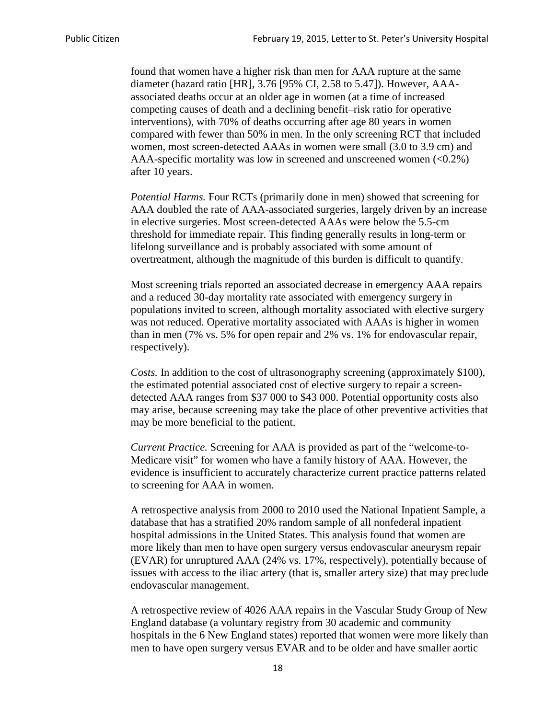found that women have a higher risk than men for AAA rupture at the same diameter (hazard ratio [HR], 3.76 [95% CI, 2.58 to 5.47]). However, AAAassociated deaths occur at an older age in women (at a time of increased competing causes of death and a declining benefit–risk ratio for operative interventions), with 70% of deaths occurring after age 80 years in women compared with fewer than 50% in men. In the only screening RCT that included women, most screen-detected AAAs in women were small (3.0 to 3.9 cm) and AAA-specific mortality was low in screened and unscreened women  $(<0.2\%)$ after 10 years.

*Potential Harms.* Four RCTs (primarily done in men) showed that screening for AAA doubled the rate of AAA-associated surgeries, largely driven by an increase in elective surgeries. Most screen-detected AAAs were below the 5.5-cm threshold for immediate repair. This finding generally results in long-term or lifelong surveillance and is probably associated with some amount of overtreatment, although the magnitude of this burden is difficult to quantify.

Most screening trials reported an associated decrease in emergency AAA repairs and a reduced 30-day mortality rate associated with emergency surgery in populations invited to screen, although mortality associated with elective surgery was not reduced. Operative mortality associated with AAAs is higher in women than in men (7% vs. 5% for open repair and 2% vs. 1% for endovascular repair, respectively).

*Costs.* In addition to the cost of ultrasonography screening (approximately \$100), the estimated potential associated cost of elective surgery to repair a screendetected AAA ranges from \$37 000 to \$43 000. Potential opportunity costs also may arise, because screening may take the place of other preventive activities that may be more beneficial to the patient.

*Current Practice.* Screening for AAA is provided as part of the "welcome-to-Medicare visit" for women who have a family history of AAA. However, the evidence is insufficient to accurately characterize current practice patterns related to screening for AAA in women.

A retrospective analysis from 2000 to 2010 used the National Inpatient Sample, a database that has a stratified 20% random sample of all nonfederal inpatient hospital admissions in the United States. This analysis found that women are more likely than men to have open surgery versus endovascular aneurysm repair (EVAR) for unruptured AAA (24% vs. 17%, respectively), potentially because of issues with access to the iliac artery (that is, smaller artery size) that may preclude endovascular management.

A retrospective review of 4026 AAA repairs in the Vascular Study Group of New England database (a voluntary registry from 30 academic and community hospitals in the 6 New England states) reported that women were more likely than men to have open surgery versus EVAR and to be older and have smaller aortic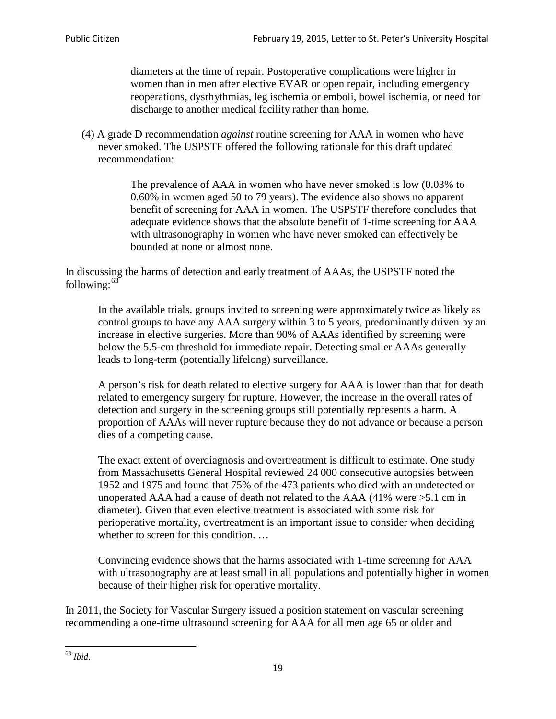diameters at the time of repair. Postoperative complications were higher in women than in men after elective EVAR or open repair, including emergency reoperations, dysrhythmias, leg ischemia or emboli, bowel ischemia, or need for discharge to another medical facility rather than home.

(4) A grade D recommendation *against* routine screening for AAA in women who have never smoked. The USPSTF offered the following rationale for this draft updated recommendation:

> The prevalence of AAA in women who have never smoked is low (0.03% to 0.60% in women aged 50 to 79 years). The evidence also shows no apparent benefit of screening for AAA in women. The USPSTF therefore concludes that adequate evidence shows that the absolute benefit of 1-time screening for AAA with ultrasonography in women who have never smoked can effectively be bounded at none or almost none.

In discussing the harms of detection and early treatment of AAAs, the USPSTF noted the following: $63$ 

In the available trials, groups invited to screening were approximately twice as likely as control groups to have any AAA surgery within 3 to 5 years, predominantly driven by an increase in elective surgeries. More than 90% of AAAs identified by screening were below the 5.5-cm threshold for immediate repair. Detecting smaller AAAs generally leads to long-term (potentially lifelong) surveillance.

A person's risk for death related to elective surgery for AAA is lower than that for death related to emergency surgery for rupture. However, the increase in the overall rates of detection and surgery in the screening groups still potentially represents a harm. A proportion of AAAs will never rupture because they do not advance or because a person dies of a competing cause.

The exact extent of overdiagnosis and overtreatment is difficult to estimate. One study from Massachusetts General Hospital reviewed 24 000 consecutive autopsies between 1952 and 1975 and found that 75% of the 473 patients who died with an undetected or unoperated AAA had a cause of death not related to the AAA (41% were >5.1 cm in diameter). Given that even elective treatment is associated with some risk for perioperative mortality, overtreatment is an important issue to consider when deciding whether to screen for this condition....

Convincing evidence shows that the harms associated with 1-time screening for AAA with ultrasonography are at least small in all populations and potentially higher in women because of their higher risk for operative mortality.

In 2011, the Society for Vascular Surgery issued a position statement on vascular screening recommending a one-time ultrasound screening for AAA for all men age 65 or older and

<span id="page-18-0"></span><sup>63</sup> *Ibid*.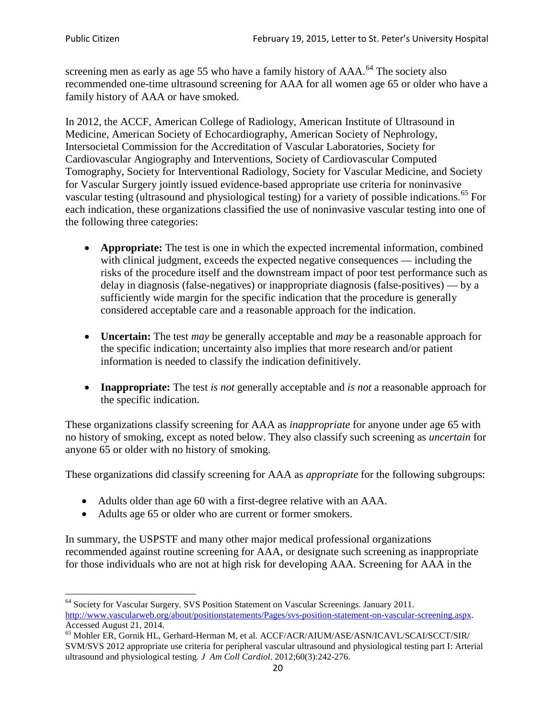screening men as early as age 55 who have a family history of AAA.<sup>[64](#page-19-0)</sup> The society also recommended one-time ultrasound screening for AAA for all women age 65 or older who have a family history of AAA or have smoked.

In 2012, the ACCF, American College of Radiology, American Institute of Ultrasound in Medicine, American Society of Echocardiography, American Society of Nephrology, Intersocietal Commission for the Accreditation of Vascular Laboratories, Society for Cardiovascular Angiography and Interventions, Society of Cardiovascular Computed Tomography, Society for Interventional Radiology, Society for Vascular Medicine, and Society for Vascular Surgery jointly issued evidence-based appropriate use criteria for noninvasive vascular testing (ultrasound and physiological testing) for a variety of possible indications.<sup>[65](#page-19-1)</sup> For each indication, these organizations classified the use of noninvasive vascular testing into one of the following three categories:

- **Appropriate:** The test is one in which the expected incremental information, combined with clinical judgment, exceeds the expected negative consequences — including the risks of the procedure itself and the downstream impact of poor test performance such as delay in diagnosis (false-negatives) or inappropriate diagnosis (false-positives) — by a sufficiently wide margin for the specific indication that the procedure is generally considered acceptable care and a reasonable approach for the indication.
- **Uncertain:** The test *may* be generally acceptable and *may* be a reasonable approach for the specific indication; uncertainty also implies that more research and/or patient information is needed to classify the indication definitively.
- **Inappropriate:** The test *is not* generally acceptable and *is not* a reasonable approach for the specific indication.

These organizations classify screening for AAA as *inappropriate* for anyone under age 65 with no history of smoking, except as noted below. They also classify such screening as *uncertain* for anyone 65 or older with no history of smoking.

These organizations did classify screening for AAA as *appropriate* for the following subgroups:

- Adults older than age 60 with a first-degree relative with an AAA.
- Adults age 65 or older who are current or former smokers.

In summary, the USPSTF and many other major medical professional organizations recommended against routine screening for AAA, or designate such screening as inappropriate for those individuals who are not at high risk for developing AAA. Screening for AAA in the

<span id="page-19-0"></span><sup>64</sup> Society for Vascular Surgery. SVS Position Statement on Vascular Screenings. January 2011. [http://www.vascularweb.org/about/positionstatements/Pages/svs-position-statement-on-vascular-screening.aspx.](http://www.vascularweb.org/about/positionstatements/Pages/svs-position-statement-on-vascular-screening.aspx) 

<span id="page-19-1"></span>Accessed August 21, 2014.<br><sup>65</sup> Mohler ER, Gornik HL, Gerhard-Herman M, et al. ACCF/ACR/AIUM/ASE/ASN/ICAVL/SCAI/SCCT/SIR/ SVM/SVS 2012 appropriate use criteria for peripheral vascular ultrasound and physiological testing part I: Arterial ultrasound and physiological testing*. J Am Coll Cardiol*. 2012;60(3):242-276.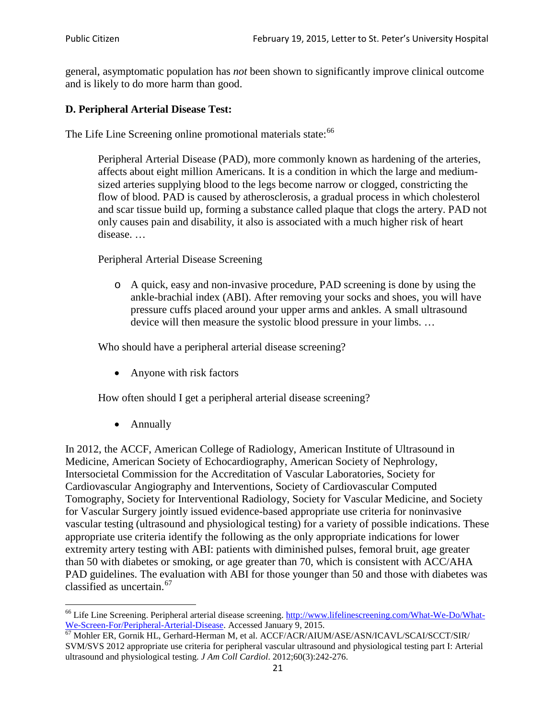general, asymptomatic population has *not* been shown to significantly improve clinical outcome and is likely to do more harm than good.

### **D. Peripheral Arterial Disease Test:**

The Life Line Screening online promotional materials state:<sup>[66](#page-20-0)</sup>

Peripheral Arterial Disease (PAD), more commonly known as hardening of the arteries, affects about eight million Americans. It is a condition in which the large and mediumsized arteries supplying blood to the legs become narrow or clogged, constricting the flow of blood. PAD is caused by atherosclerosis, a gradual process in which cholesterol and scar tissue build up, forming a substance called plaque that clogs the artery. PAD not only causes pain and disability, it also is associated with a much higher risk of heart disease. …

Peripheral Arterial Disease Screening

o A quick, easy and non-invasive procedure, PAD screening is done by using the ankle-brachial index (ABI). After removing your socks and shoes, you will have pressure cuffs placed around your upper arms and ankles. A small ultrasound device will then measure the systolic blood pressure in your limbs. …

Who should have a peripheral arterial disease screening?

• Anyone with risk factors

How often should I get a peripheral arterial disease screening?

• Annually

In 2012, the ACCF, American College of Radiology, American Institute of Ultrasound in Medicine, American Society of Echocardiography, American Society of Nephrology, Intersocietal Commission for the Accreditation of Vascular Laboratories, Society for Cardiovascular Angiography and Interventions, Society of Cardiovascular Computed Tomography, Society for Interventional Radiology, Society for Vascular Medicine, and Society for Vascular Surgery jointly issued evidence-based appropriate use criteria for noninvasive vascular testing (ultrasound and physiological testing) for a variety of possible indications. These appropriate use criteria identify the following as the only appropriate indications for lower extremity artery testing with ABI: patients with diminished pulses, femoral bruit, age greater than 50 with diabetes or smoking, or age greater than 70, which is consistent with ACC/AHA PAD guidelines. The evaluation with ABI for those younger than 50 and those with diabetes was classified as uncertain.<sup>[67](#page-20-1)</sup>

<span id="page-20-0"></span><sup>&</sup>lt;sup>66</sup> Life Line Screening. Peripheral arterial disease screening. [http://www.lifelinescreening.com/What-We-Do/What-](http://www.lifelinescreening.com/What-We-Do/What-We-Screen-For/Peripheral-Arterial-Disease)[We-Screen-For/Peripheral-Arterial-Disease.](http://www.lifelinescreening.com/What-We-Do/What-We-Screen-For/Peripheral-Arterial-Disease) Accessed January 9, 2015.<br><sup>67</sup> Mohler ER, Gornik HL, Gerhard-Herman M, et al. ACCF/ACR/AIUM/ASE/ASN/ICAVL/SCAI/SCCT/SIR/

<span id="page-20-1"></span>SVM/SVS 2012 appropriate use criteria for peripheral vascular ultrasound and physiological testing part I: Arterial ultrasound and physiological testing. *J Am Coll Cardiol*. 2012;60(3):242-276.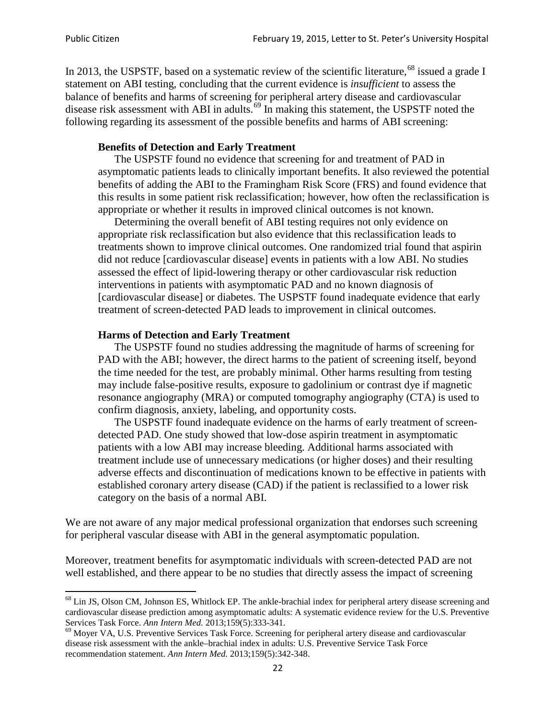In 2013, the USPSTF, based on a systematic review of the scientific literature,<sup>[68](#page-21-0)</sup> issued a grade I statement on ABI testing, concluding that the current evidence is *insufficient* to assess the balance of benefits and harms of screening for peripheral artery disease and cardiovascular disease risk assessment with ABI in adults.<sup>[69](#page-21-1)</sup> In making this statement, the USPSTF noted the following regarding its assessment of the possible benefits and harms of ABI screening:

#### **Benefits of Detection and Early Treatment**

The USPSTF found no evidence that screening for and treatment of PAD in asymptomatic patients leads to clinically important benefits. It also reviewed the potential benefits of adding the ABI to the Framingham Risk Score (FRS) and found evidence that this results in some patient risk reclassification; however, how often the reclassification is appropriate or whether it results in improved clinical outcomes is not known.

Determining the overall benefit of ABI testing requires not only evidence on appropriate risk reclassification but also evidence that this reclassification leads to treatments shown to improve clinical outcomes. One randomized trial found that aspirin did not reduce [cardiovascular disease] events in patients with a low ABI. No studies assessed the effect of lipid-lowering therapy or other cardiovascular risk reduction interventions in patients with asymptomatic PAD and no known diagnosis of [cardiovascular disease] or diabetes. The USPSTF found inadequate evidence that early treatment of screen-detected PAD leads to improvement in clinical outcomes.

#### **Harms of Detection and Early Treatment**

The USPSTF found no studies addressing the magnitude of harms of screening for PAD with the ABI; however, the direct harms to the patient of screening itself, beyond the time needed for the test, are probably minimal. Other harms resulting from testing may include false-positive results, exposure to gadolinium or contrast dye if magnetic resonance angiography (MRA) or computed tomography angiography (CTA) is used to confirm diagnosis, anxiety, labeling, and opportunity costs.

The USPSTF found inadequate evidence on the harms of early treatment of screendetected PAD. One study showed that low-dose aspirin treatment in asymptomatic patients with a low ABI may increase bleeding. Additional harms associated with treatment include use of unnecessary medications (or higher doses) and their resulting adverse effects and discontinuation of medications known to be effective in patients with established coronary artery disease (CAD) if the patient is reclassified to a lower risk category on the basis of a normal ABI.

We are not aware of any major medical professional organization that endorses such screening for peripheral vascular disease with ABI in the general asymptomatic population.

Moreover, treatment benefits for asymptomatic individuals with screen-detected PAD are not well established, and there appear to be no studies that directly assess the impact of screening

<span id="page-21-0"></span><sup>&</sup>lt;sup>68</sup> Lin JS, Olson CM, Johnson ES, Whitlock EP. The ankle-brachial index for peripheral artery disease screening and cardiovascular disease prediction among asymptomatic adults: A systematic evidence review for the U.S. Preventive Services Task Force. *Ann Intern Med.* 2013;159(5):333-341.<br><sup>69</sup> Moyer VA, U.S. Preventive Services Task Force. Screening for peripheral artery disease and cardiovascular

<span id="page-21-1"></span>disease risk assessment with the ankle–brachial index in adults: U.S. Preventive Service Task Force recommendation statement. *Ann Intern Med.* 2013;159(5):342-348.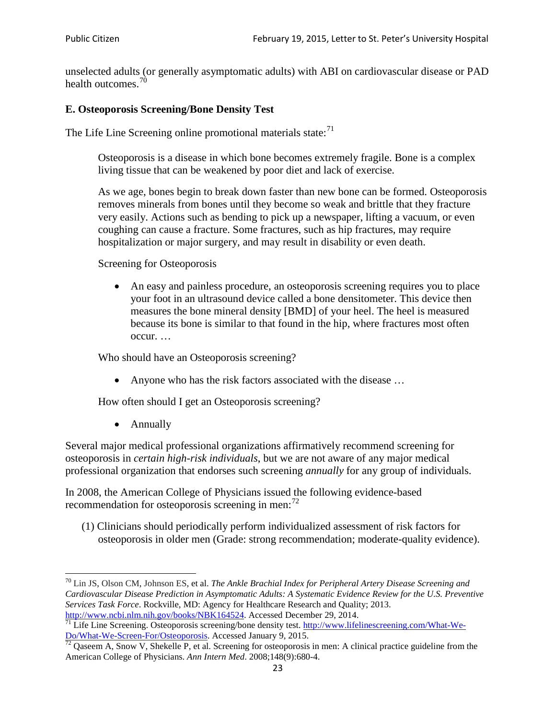unselected adults (or generally asymptomatic adults) with ABI on cardiovascular disease or PAD health outcomes.<sup>[70](#page-22-0)</sup>

### **E. Osteoporosis Screening/Bone Density Test**

The Life Line Screening online promotional materials state: $71$ 

Osteoporosis is a disease in which bone becomes extremely fragile. Bone is a complex living tissue that can be weakened by poor diet and lack of exercise.

As we age, bones begin to break down faster than new bone can be formed. Osteoporosis removes minerals from bones until they become so weak and brittle that they fracture very easily. Actions such as bending to pick up a newspaper, lifting a vacuum, or even coughing can cause a fracture. Some fractures, such as hip fractures, may require hospitalization or major surgery, and may result in disability or even death.

Screening for Osteoporosis

• An easy and painless procedure, an osteoporosis screening requires you to place your foot in an ultrasound device called a bone densitometer. This device then measures the bone mineral density [BMD] of your heel. The heel is measured because its bone is similar to that found in the hip, where fractures most often occur. …

Who should have an Osteoporosis screening?

• Anyone who has the risk factors associated with the disease ...

How often should I get an Osteoporosis screening?

• Annually

Several major medical professional organizations affirmatively recommend screening for osteoporosis in *certain high-risk individuals*, but we are not aware of any major medical professional organization that endorses such screening *annually* for any group of individuals.

In 2008, the American College of Physicians issued the following evidence-based recommendation for osteoporosis screening in men: $^{72}$  $^{72}$  $^{72}$ 

(1) Clinicians should periodically perform individualized assessment of risk factors for osteoporosis in older men (Grade: strong recommendation; moderate-quality evidence).

<span id="page-22-0"></span><sup>70</sup> [Lin JS,](http://www.ncbi.nlm.nih.gov/pubmed?term=Lin%20JS%5BAuthor%5D&cauthor=true&cauthor_uid=24156115) [Olson CM,](http://www.ncbi.nlm.nih.gov/pubmed?term=Olson%20CM%5BAuthor%5D&cauthor=true&cauthor_uid=24156115) [Johnson ES,](http://www.ncbi.nlm.nih.gov/pubmed?term=Johnson%20ES%5BAuthor%5D&cauthor=true&cauthor_uid=24156115) et al. *The Ankle Brachial Index for Peripheral Artery Disease Screening and Cardiovascular Disease Prediction in Asymptomatic Adults: A Systematic Evidence Review for the U.S. Preventive Services Task Force*. Rockville, MD: Agency for Healthcare Research and Quality; 2013.<br>http://www.ncbi.nlm.nih.gov/books/NBK164524. Accessed December 29, 2014.

<span id="page-22-1"></span> $\frac{1}{71}$  Life Line Screening. Osteoporosis screening/bone density test. [http://www.lifelinescreening.com/What-We-](http://www.lifelinescreening.com/What-We-Do/What-We-Screen-For/Osteoporosis) $\frac{Do/What-We-Screen-For/Osteoporosis}{72}$  Qaseem A, Snow V, Shekelle P, et al. Screening for osteoporosis in men: A clinical practice guideline from the

<span id="page-22-2"></span>American College of Physicians. *Ann Intern Med*. 2008;148(9):680-4.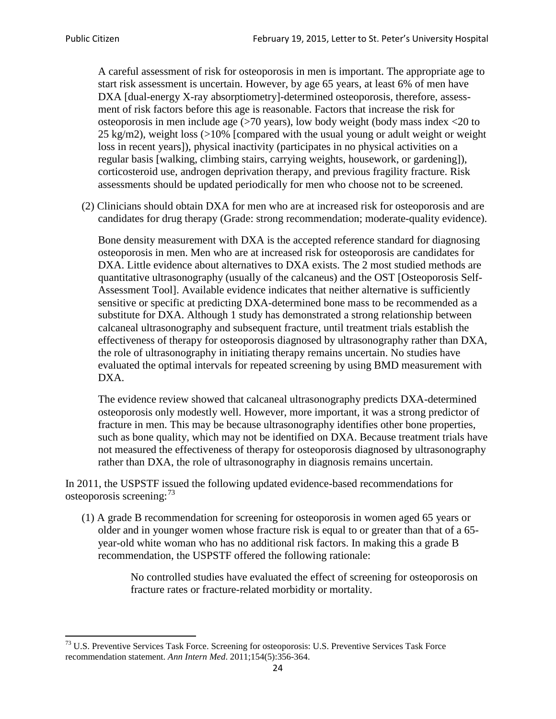A careful assessment of risk for osteoporosis in men is important. The appropriate age to start risk assessment is uncertain. However, by age 65 years, at least 6% of men have DXA [dual-energy X-ray absorptiometry]-determined osteoporosis, therefore, assessment of risk factors before this age is reasonable. Factors that increase the risk for osteoporosis in men include age (>70 years), low body weight (body mass index <20 to 25 kg/m2), weight loss (>10% [compared with the usual young or adult weight or weight loss in recent years]), physical inactivity (participates in no physical activities on a regular basis [walking, climbing stairs, carrying weights, housework, or gardening]), corticosteroid use, androgen deprivation therapy, and previous fragility fracture. Risk assessments should be updated periodically for men who choose not to be screened.

(2) Clinicians should obtain DXA for men who are at increased risk for osteoporosis and are candidates for drug therapy (Grade: strong recommendation; moderate-quality evidence).

Bone density measurement with DXA is the accepted reference standard for diagnosing osteoporosis in men. Men who are at increased risk for osteoporosis are candidates for DXA. Little evidence about alternatives to DXA exists. The 2 most studied methods are quantitative ultrasonography (usually of the calcaneus) and the OST [Osteoporosis Self-Assessment Tool]. Available evidence indicates that neither alternative is sufficiently sensitive or specific at predicting DXA-determined bone mass to be recommended as a substitute for DXA. Although 1 study has demonstrated a strong relationship between calcaneal ultrasonography and subsequent fracture, until treatment trials establish the effectiveness of therapy for osteoporosis diagnosed by ultrasonography rather than DXA, the role of ultrasonography in initiating therapy remains uncertain. No studies have evaluated the optimal intervals for repeated screening by using BMD measurement with DXA.

The evidence review showed that calcaneal ultrasonography predicts DXA-determined osteoporosis only modestly well. However, more important, it was a strong predictor of fracture in men. This may be because ultrasonography identifies other bone properties, such as bone quality, which may not be identified on DXA. Because treatment trials have not measured the effectiveness of therapy for osteoporosis diagnosed by ultrasonography rather than DXA, the role of ultrasonography in diagnosis remains uncertain.

In 2011, the USPSTF issued the following updated evidence-based recommendations for osteoporosis screening:<sup>[73](#page-23-0)</sup>

(1) A grade B recommendation for screening for osteoporosis in women aged 65 years or older and in younger women whose fracture risk is equal to or greater than that of a 65 year-old white woman who has no additional risk factors. In making this a grade B recommendation, the USPSTF offered the following rationale:

> No controlled studies have evaluated the effect of screening for osteoporosis on fracture rates or fracture-related morbidity or mortality.

<span id="page-23-0"></span><sup>&</sup>lt;sup>73</sup> U.S. Preventive Services Task Force. Screening for osteoporosis: U.S. Preventive Services Task Force recommendation statement. *Ann Intern Med*. 2011;154(5):356-364.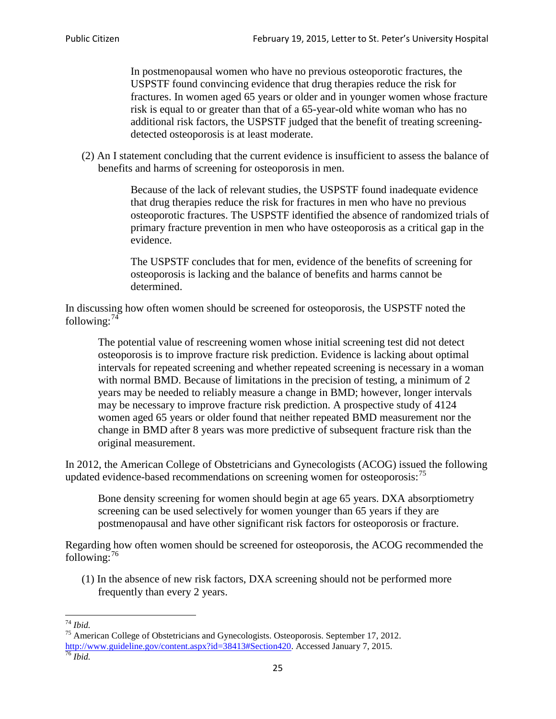In postmenopausal women who have no previous osteoporotic fractures, the USPSTF found convincing evidence that drug therapies reduce the risk for fractures. In women aged 65 years or older and in younger women whose fracture risk is equal to or greater than that of a 65-year-old white woman who has no additional risk factors, the USPSTF judged that the benefit of treating screeningdetected osteoporosis is at least moderate.

(2) An I statement concluding that the current evidence is insufficient to assess the balance of benefits and harms of screening for osteoporosis in men.

> Because of the lack of relevant studies, the USPSTF found inadequate evidence that drug therapies reduce the risk for fractures in men who have no previous osteoporotic fractures. The USPSTF identified the absence of randomized trials of primary fracture prevention in men who have osteoporosis as a critical gap in the evidence.

The USPSTF concludes that for men, evidence of the benefits of screening for osteoporosis is lacking and the balance of benefits and harms cannot be determined.

In discussing how often women should be screened for osteoporosis, the USPSTF noted the following: $74$ 

The potential value of rescreening women whose initial screening test did not detect osteoporosis is to improve fracture risk prediction. Evidence is lacking about optimal intervals for repeated screening and whether repeated screening is necessary in a woman with normal BMD. Because of limitations in the precision of testing, a minimum of 2 years may be needed to reliably measure a change in BMD; however, longer intervals may be necessary to improve fracture risk prediction. A prospective study of 4124 women aged 65 years or older found that neither repeated BMD measurement nor the change in BMD after 8 years was more predictive of subsequent fracture risk than the original measurement.

In 2012, the American College of Obstetricians and Gynecologists (ACOG) issued the following updated evidence-based recommendations on screening women for osteoporosis:<sup>[75](#page-24-1)</sup>

Bone density screening for women should begin at age 65 years. DXA absorptiometry screening can be used selectively for women younger than 65 years if they are postmenopausal and have other significant risk factors for osteoporosis or fracture.

Regarding how often women should be screened for osteoporosis, the ACOG recommended the following: $^{76}$  $^{76}$  $^{76}$ 

(1) In the absence of new risk factors, DXA screening should not be performed more frequently than every 2 years.

<span id="page-24-2"></span><span id="page-24-1"></span><span id="page-24-0"></span><sup>74</sup> *Ibid.* <sup>75</sup> American College of Obstetricians and Gynecologists. Osteoporosis. September 17, 2012. [http://www.guideline.gov/content.aspx?id=38413#Section420.](http://www.guideline.gov/content.aspx?id=38413#Section420) Accessed January 7, 2015.<br><sup>76</sup> *Ibid.*